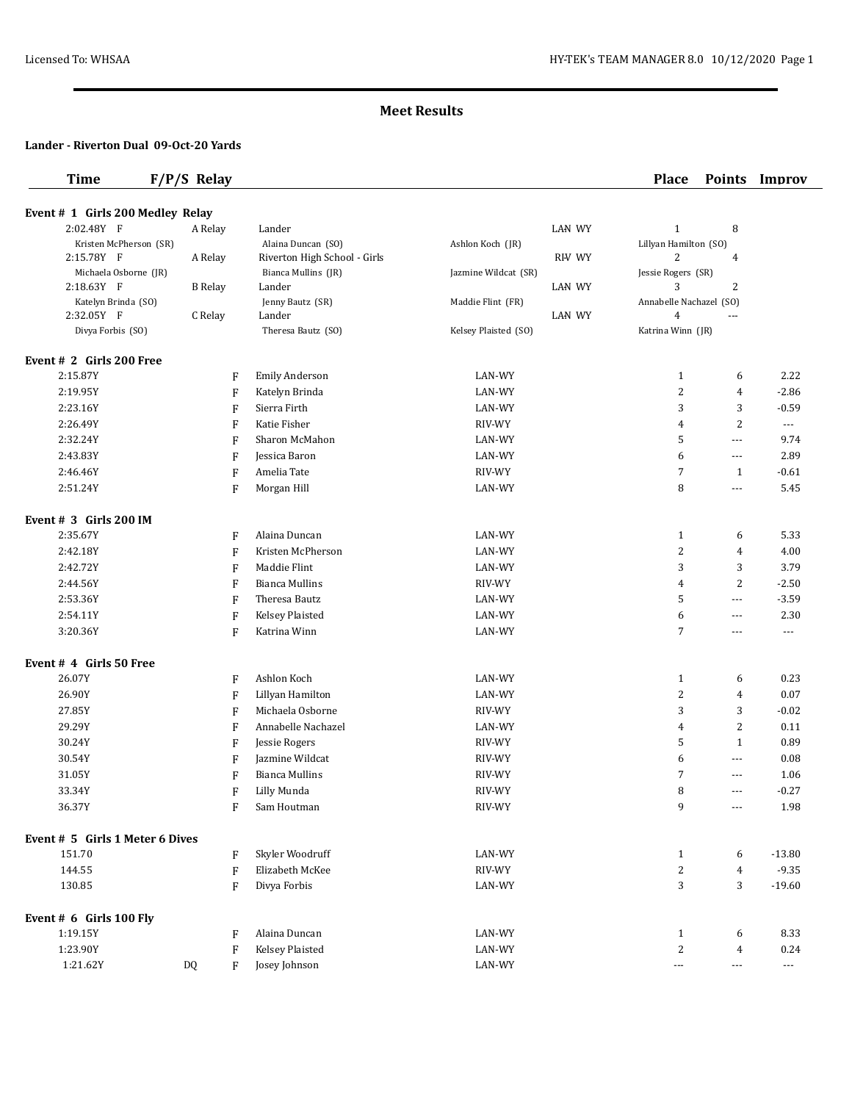## **Meet Results**

#### **Lander - Riverton Dual 09-Oct-20 Yards**

# **Time F/P/S Relay Place Points Improv**

| Event # 1 Girls 200 Medley Relay  |                           |                              |                      |                                  |                          |
|-----------------------------------|---------------------------|------------------------------|----------------------|----------------------------------|--------------------------|
| 2:02.48Y F                        | A Relay                   | Lander                       | <b>LAN WY</b>        | $\mathbf{1}$<br>8                |                          |
| Kristen McPherson (SR)            |                           | Alaina Duncan (SO)           | Ashlon Koch (JR)     | Lillyan Hamilton (SO)            |                          |
| 2:15.78Y F                        | A Relay                   | Riverton High School - Girls | RHV WY               | 2<br>4                           |                          |
| Michaela Osborne (JR)             |                           | Bianca Mullins (JR)          | Jazmine Wildcat (SR) | Jessie Rogers (SR)               |                          |
| 2:18.63Y F                        | <b>B</b> Relay            | Lander                       | <b>LAN WY</b>        | $\overline{2}$<br>3              |                          |
| Katelyn Brinda (SO)               |                           | Jenny Bautz (SR)             | Maddie Flint (FR)    | Annabelle Nachazel (SO)          |                          |
| 2:32.05Y F                        | C Relay                   | Lander                       | LAN WY               | $\overline{4}$<br>---            |                          |
| Divya Forbis (SO)                 |                           | Theresa Bautz (SO)           | Kelsey Plaisted (SO) | Katrina Winn (JR)                |                          |
| Event # 2 Girls 200 Free          |                           |                              |                      |                                  |                          |
| 2:15.87Y                          | F                         | <b>Emily Anderson</b>        | LAN-WY               | $\mathbf{1}$<br>6                | 2.22                     |
| 2:19.95Y                          | F                         | Katelyn Brinda               | LAN-WY               | 2<br>$\overline{4}$              | $-2.86$                  |
| 2:23.16Y                          | F                         | Sierra Firth                 | LAN-WY               | 3<br>3                           | $-0.59$                  |
| 2:26.49Y                          | F                         | Katie Fisher                 | RIV-WY               | $\overline{c}$<br>4              | $\cdots$                 |
| 2:32.24Y                          | F                         | Sharon McMahon               | LAN-WY               | 5<br>$\cdots$                    | 9.74                     |
| 2:43.83Y                          | F                         | Jessica Baron                | LAN-WY               | 6<br>$\cdots$                    | 2.89                     |
| 2:46.46Y                          | F                         | Amelia Tate                  | RIV-WY               | 7<br>$\mathbf{1}$                | $-0.61$                  |
| 2:51.24Y                          | F                         | Morgan Hill                  | LAN-WY               | 8<br>$\cdots$                    | 5.45                     |
| Event $# 3$ Girls 200 IM          |                           |                              |                      |                                  |                          |
| 2:35.67Y                          | F                         | Alaina Duncan                | LAN-WY               | $\mathbf{1}$<br>6                | 5.33                     |
| 2:42.18Y                          | F                         | Kristen McPherson            | LAN-WY               | 2<br>4                           | 4.00                     |
| 2:42.72Y                          | F                         | Maddie Flint                 | LAN-WY               | 3<br>3                           | 3.79                     |
| 2:44.56Y                          | F                         | <b>Bianca Mullins</b>        | RIV-WY               | $\overline{c}$<br>4              | $-2.50$                  |
| 2:53.36Y                          | F                         | Theresa Bautz                | LAN-WY               | 5<br>$\cdots$                    | $-3.59$                  |
| 2:54.11Y                          | $\boldsymbol{\mathrm{F}}$ | Kelsey Plaisted              | LAN-WY               | 6<br>$\cdots$                    | 2.30                     |
| 3:20.36Y                          | F                         | Katrina Winn                 | LAN-WY               | 7<br>---                         | ---                      |
|                                   |                           |                              |                      |                                  |                          |
| Event # 4 Girls 50 Free<br>26.07Y |                           |                              | LAN-WY               | $\mathbf{1}$                     | 0.23                     |
| 26.90Y                            | F                         | Ashlon Koch                  |                      | 6<br>2<br>$\overline{4}$         | 0.07                     |
|                                   | F                         | Lillyan Hamilton             | LAN-WY               |                                  |                          |
| 27.85Y                            | F                         | Michaela Osborne             | RIV-WY               | 3<br>3                           | $-0.02$                  |
| 29.29Y                            | F                         | Annabelle Nachazel           | LAN-WY               | $\overline{c}$<br>4              | 0.11                     |
| 30.24Y                            | F                         | Jessie Rogers                | RIV-WY               | 5<br>$\mathbf{1}$                | 0.89                     |
| 30.54Y                            | F                         | Jazmine Wildcat              | RIV-WY               | 6<br>$\cdots$                    | 0.08                     |
| 31.05Y                            | F                         | <b>Bianca Mullins</b>        | RIV-WY               | 7<br>$\cdots$                    | 1.06                     |
| 33.34Y                            | F                         | Lilly Munda                  | RIV-WY               | 8<br>$\cdots$                    | $-0.27$                  |
| 36.37Y                            | F                         | Sam Houtman                  | RIV-WY               | 9<br>---                         | 1.98                     |
| Event # 5 Girls 1 Meter 6 Dives   |                           |                              |                      |                                  |                          |
| 151.70                            | F                         | Skyler Woodruff              | LAN-WY               | $\mathbf{1}$<br>6                | $-13.80$                 |
| 144.55                            | $\rm F$                   | Elizabeth McKee              | RIV-WY               | $\overline{c}$<br>$\overline{4}$ | $-9.35$                  |
| 130.85                            | F                         | Divya Forbis                 | LAN-WY               | 3<br>3                           | $-19.60$                 |
| Event # 6 Girls 100 Fly           |                           |                              |                      |                                  |                          |
| 1:19.15Y                          | F                         | Alaina Duncan                | LAN-WY               | $\mathbf{1}$<br>6                | 8.33                     |
| 1:23.90Y                          | $\rm F$                   | Kelsey Plaisted              | LAN-WY               | 2<br>4                           | 0.24                     |
| 1:21.62Y                          | DQ<br>$\mathbf{F}$        | Josey Johnson                | LAN-WY               | ---<br>$\scriptstyle\cdots$      | $\hspace{0.05cm} \ldots$ |
|                                   |                           |                              |                      |                                  |                          |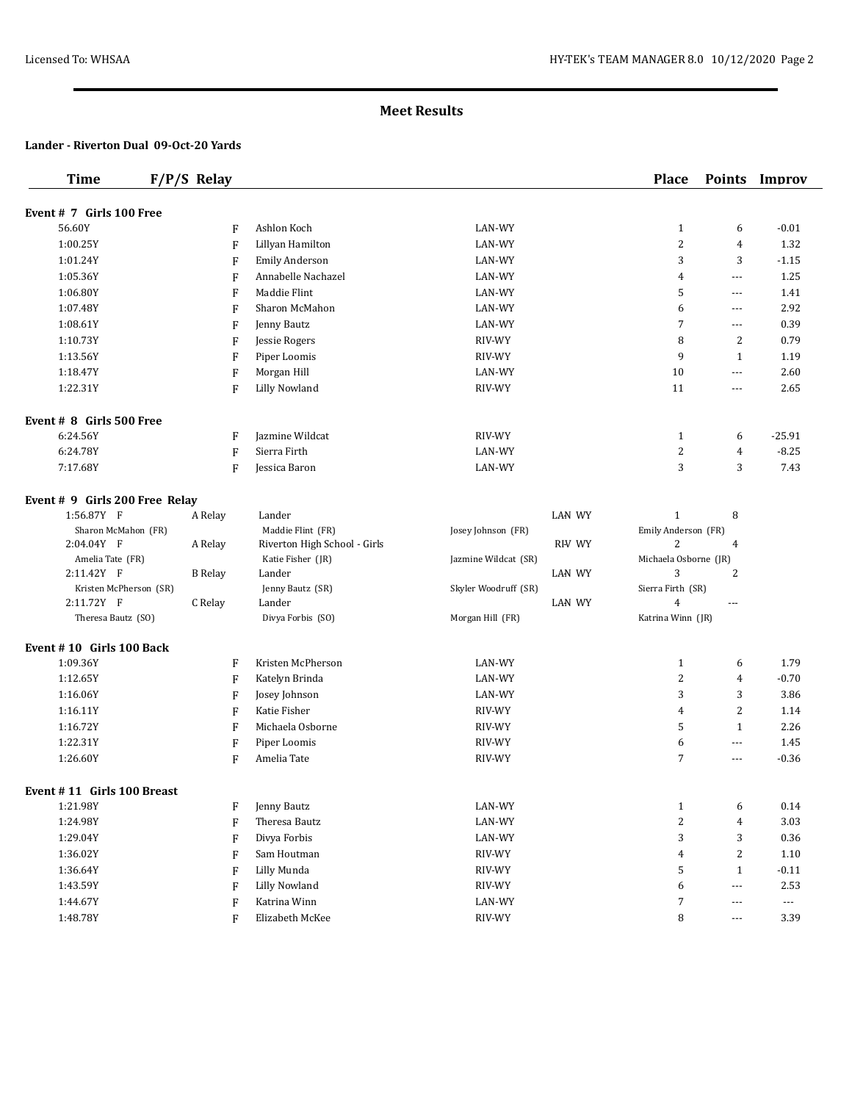# **Meet Results**

#### **Lander - Riverton Dual 09-Oct-20 Yards**

| <b>Time</b>                    | $F/P/S$ Relay  |              |                              |                      |               | <b>Place</b>          | <b>Points</b>        | Improv                   |
|--------------------------------|----------------|--------------|------------------------------|----------------------|---------------|-----------------------|----------------------|--------------------------|
| Event # 7 Girls 100 Free       |                |              |                              |                      |               |                       |                      |                          |
| 56.60Y                         |                | F            | Ashlon Koch                  | LAN-WY               |               | $\mathbf{1}$          | 6                    | $-0.01$                  |
| 1:00.25Y                       |                | F            | Lillyan Hamilton             | LAN-WY               |               | $\boldsymbol{2}$      | $\overline{4}$       | 1.32                     |
| 1:01.24Y                       |                | F            | Emily Anderson               | LAN-WY               |               | 3                     | 3                    | $-1.15$                  |
| 1:05.36Y                       |                | F            | Annabelle Nachazel           | LAN-WY               |               | $\overline{4}$        | $\cdots$             | 1.25                     |
| 1:06.80Y                       |                | F            | Maddie Flint                 | LAN-WY               |               | 5                     | $\overline{a}$       | 1.41                     |
| 1:07.48Y                       |                | F            | Sharon McMahon               | LAN-WY               |               | 6                     | $\cdots$             | 2.92                     |
| 1:08.61Y                       |                | F            | Jenny Bautz                  | LAN-WY               |               | 7                     | $\cdots$             | 0.39                     |
| 1:10.73Y                       |                | F            | Jessie Rogers                | RIV-WY               |               | 8                     | 2                    | 0.79                     |
| 1:13.56Y                       |                | F            | Piper Loomis                 | RIV-WY               |               | 9                     | $\mathbf{1}$         | 1.19                     |
| 1:18.47Y                       |                | F            | Morgan Hill                  | LAN-WY               |               | 10                    | $\cdots$             | 2.60                     |
| 1:22.31Y                       |                | F            | <b>Lilly Nowland</b>         | RIV-WY               |               | 11                    | $\cdots$             | 2.65                     |
| Event # 8 Girls 500 Free       |                |              |                              |                      |               |                       |                      |                          |
| 6:24.56Y                       |                | F            | Jazmine Wildcat              | RIV-WY               |               | $\mathbf{1}$          | 6                    | $-25.91$                 |
| 6:24.78Y                       |                | F            | Sierra Firth                 | LAN-WY               |               | $\overline{c}$        | $\overline{4}$       | $-8.25$                  |
| 7:17.68Y                       |                | F            | Jessica Baron                | LAN-WY               |               | 3                     | 3                    | 7.43                     |
| Event # 9 Girls 200 Free Relay |                |              |                              |                      |               |                       |                      |                          |
| 1:56.87Y F                     | A Relay        |              | Lander                       |                      | <b>LAN WY</b> | $\mathbf{1}$          | 8                    |                          |
| Sharon McMahon (FR)            |                |              | Maddie Flint (FR)            | Josey Johnson (FR)   |               | Emily Anderson (FR)   |                      |                          |
| 2:04.04Y F                     | A Relay        |              | Riverton High School - Girls |                      | <b>RHV WY</b> | 2                     | 4                    |                          |
| Amelia Tate (FR)               |                |              | Katie Fisher (JR)            | Jazmine Wildcat (SR) |               | Michaela Osborne (JR) |                      |                          |
| 2:11.42Y F                     | <b>B</b> Relay |              | Lander                       |                      | <b>LAN WY</b> | 3                     | 2                    |                          |
| Kristen McPherson (SR)         |                |              | Jenny Bautz (SR)             | Skyler Woodruff (SR) |               | Sierra Firth (SR)     |                      |                          |
| 2:11.72Y F                     | C Relay        |              | Lander                       |                      | <b>LAN WY</b> | $\overline{4}$        | ---                  |                          |
| Theresa Bautz (SO)             |                |              | Divya Forbis (SO)            | Morgan Hill (FR)     |               | Katrina Winn (JR)     |                      |                          |
| Event #10 Girls 100 Back       |                |              |                              |                      |               |                       |                      |                          |
| 1:09.36Y                       |                | F            | Kristen McPherson            | LAN-WY               |               | $\mathbf{1}$          | 6                    | 1.79                     |
| 1:12.65Y                       |                | F            | Katelyn Brinda               | LAN-WY               |               | $\overline{c}$        | $\overline{4}$       | $-0.70$                  |
| 1:16.06Y                       |                | F            | Josey Johnson                | LAN-WY               |               | 3                     | 3                    | 3.86                     |
| 1:16.11Y                       |                | $\mathbf{F}$ | Katie Fisher                 | RIV-WY               |               | 4                     | 2                    | 1.14                     |
| 1:16.72Y                       |                | F            | Michaela Osborne             | RIV-WY               |               | 5                     | $\mathbf{1}$         | 2.26                     |
| 1:22.31Y                       |                | F            | Piper Loomis                 | RIV-WY               |               | 6                     | $\cdots$             | 1.45                     |
| 1:26.60Y                       |                | F            | Amelia Tate                  | RIV-WY               |               | 7                     | $\cdots$             | $-0.36$                  |
| Event # 11 Girls 100 Breast    |                |              |                              |                      |               |                       |                      |                          |
| 1:21.98Y                       |                | F            | Jenny Bautz                  | LAN-WY               |               | $\mathbf{1}$          | 6                    | 0.14                     |
| 1:24.98Y                       |                | F            | Theresa Bautz                | LAN-WY               |               | $\overline{c}$        | $\overline{4}$       | 3.03                     |
| 1:29.04Y                       |                | F            | Divya Forbis                 | LAN-WY               |               | 3                     | 3                    | 0.36                     |
| 1:36.02Y                       |                | F            | Sam Houtman                  | RIV-WY               |               | 4                     | $\sqrt{2}$           | $1.10\,$                 |
| 1:36.64Y                       |                | F            | Lilly Munda                  | RIV-WY               |               | 5                     | $\mathbf{1}$         | $-0.11$                  |
| 1:43.59Y                       |                | F            | <b>Lilly Nowland</b>         | RIV-WY               |               | 6                     | $\scriptstyle\cdots$ | 2.53                     |
| 1:44.67Y                       |                | F            | Katrina Winn                 | LAN-WY               |               | $\boldsymbol{7}$      | ---                  | $\overline{\phantom{a}}$ |
| 1:48.78Y                       |                | F            | Elizabeth McKee              | RIV-WY               |               | 8                     | $\cdots$             | 3.39                     |